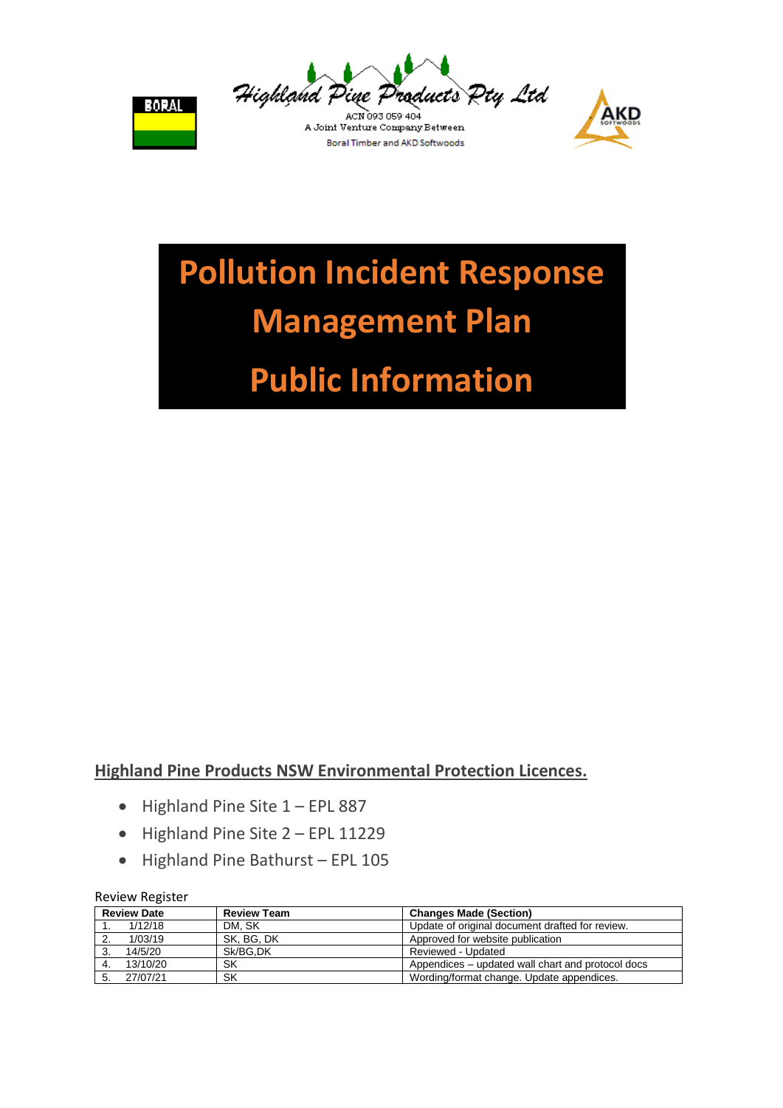



A Joint Venture Company Between **Boral Timber and AKD Softwoods** 



# **Pollution Incident Response Management Plan**

## **Public Information**

#### **Highland Pine Products NSW Environmental Protection Licences.**

- $\bullet$  Highland Pine Site  $1 EPL 887$
- Highland Pine Site 2 EPL 11229
- Highland Pine Bathurst EPL 105

#### Review Register

| <b>Review Date</b> | <b>Review Team</b> | <b>Changes Made (Section)</b>                     |
|--------------------|--------------------|---------------------------------------------------|
| 1/12/18            | DM. SK             | Update of original document drafted for review.   |
| 1/03/19            | SK. BG. DK         | Approved for website publication                  |
| 14/5/20            | Sk/BG.DK           | Reviewed - Updated                                |
| 13/10/20           | SK                 | Appendices – updated wall chart and protocol docs |
| 27/07/21           | SK                 | Wording/format change. Update appendices.         |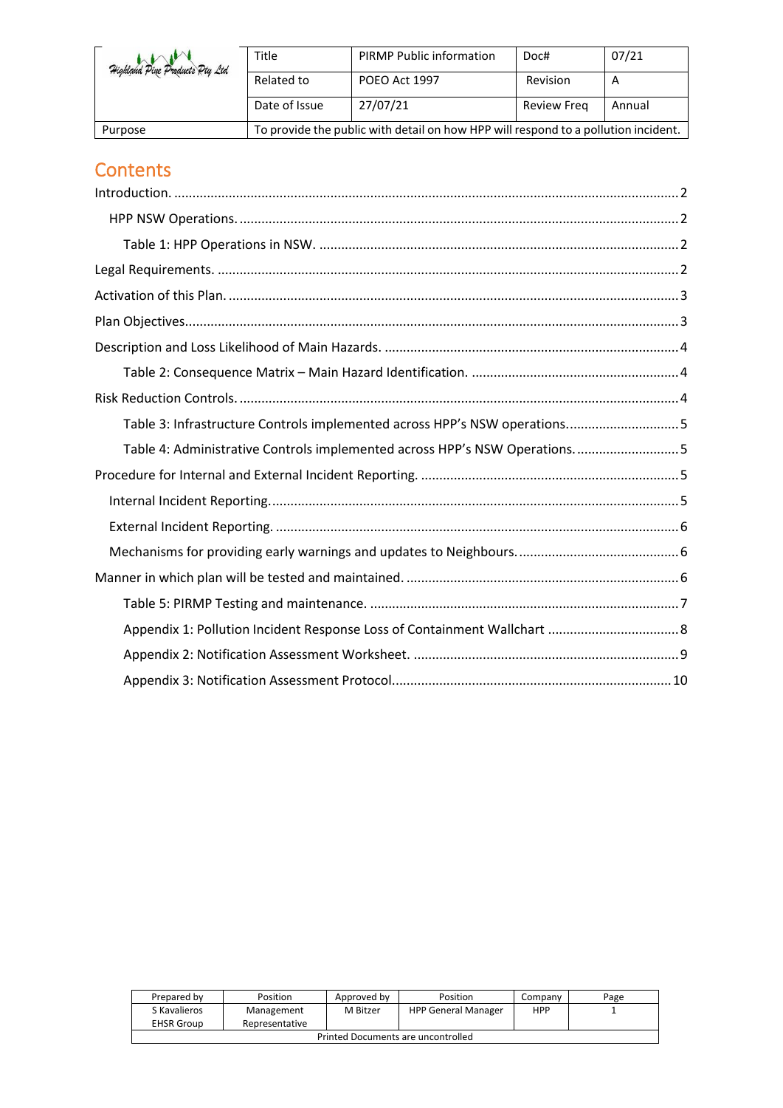| Highland Pine Products Pty Ltd | Title                                                                              | <b>PIRMP Public information</b> | Doc#        | 07/21  |
|--------------------------------|------------------------------------------------------------------------------------|---------------------------------|-------------|--------|
|                                | Related to                                                                         | POEO Act 1997                   | Revision    | A      |
|                                | Date of Issue                                                                      | 27/07/21                        | Review Freg | Annual |
| Purpose                        | To provide the public with detail on how HPP will respond to a pollution incident. |                                 |             |        |

### **Contents**

| Table 3: Infrastructure Controls implemented across HPP's NSW operations5 |  |
|---------------------------------------------------------------------------|--|
| Table 4: Administrative Controls implemented across HPP's NSW Operations5 |  |
|                                                                           |  |
|                                                                           |  |
|                                                                           |  |
|                                                                           |  |
|                                                                           |  |
|                                                                           |  |
|                                                                           |  |
|                                                                           |  |
|                                                                           |  |

| Prepared by                         | Position   | Approved by | Position                   | Company | Page |
|-------------------------------------|------------|-------------|----------------------------|---------|------|
| S Kavalieros                        | Management | M Bitzer    | <b>HPP General Manager</b> | HPP     |      |
| <b>EHSR Group</b><br>Representative |            |             |                            |         |      |
| Printed Documents are uncontrolled  |            |             |                            |         |      |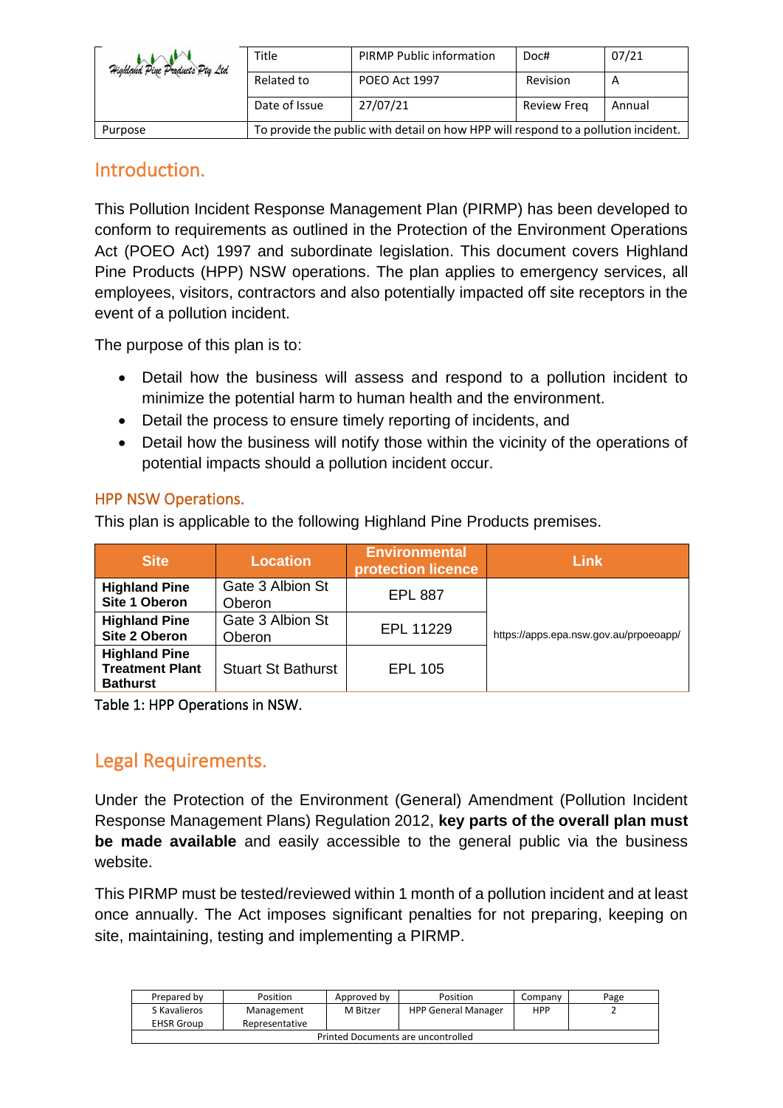| Highland Pine Products Pty Ltd | Title                                                                              | <b>PIRMP Public information</b> | Doc#        | 07/21  |
|--------------------------------|------------------------------------------------------------------------------------|---------------------------------|-------------|--------|
|                                | Related to                                                                         | POEO Act 1997                   | Revision    | A      |
|                                | Date of Issue                                                                      | 27/07/21                        | Review Freg | Annual |
| Purpose                        | To provide the public with detail on how HPP will respond to a pollution incident. |                                 |             |        |

#### <span id="page-2-0"></span>Introduction.

This Pollution Incident Response Management Plan (PIRMP) has been developed to conform to requirements as outlined in the Protection of the Environment Operations Act (POEO Act) 1997 and subordinate legislation. This document covers Highland Pine Products (HPP) NSW operations. The plan applies to emergency services, all employees, visitors, contractors and also potentially impacted off site receptors in the event of a pollution incident.

The purpose of this plan is to:

- Detail how the business will assess and respond to a pollution incident to minimize the potential harm to human health and the environment.
- Detail the process to ensure timely reporting of incidents, and
- Detail how the business will notify those within the vicinity of the operations of potential impacts should a pollution incident occur.

#### <span id="page-2-1"></span>HPP NSW Operations.

This plan is applicable to the following Highland Pine Products premises.

| <b>Site</b>                                                       | <b>Location</b>            | <b>Environmental</b><br>protection licence | Link                                   |  |
|-------------------------------------------------------------------|----------------------------|--------------------------------------------|----------------------------------------|--|
| <b>Highland Pine</b><br>Site 1 Oberon                             | Gate 3 Albion St<br>Oberon | <b>EPL 887</b>                             |                                        |  |
| <b>Highland Pine</b><br>Site 2 Oberon                             | Gate 3 Albion St<br>Oberon | EPL 11229                                  | https://apps.epa.nsw.gov.au/prpoeoapp/ |  |
| <b>Highland Pine</b><br><b>Treatment Plant</b><br><b>Bathurst</b> | <b>Stuart St Bathurst</b>  | <b>EPL 105</b>                             |                                        |  |

<span id="page-2-3"></span><span id="page-2-2"></span>Table 1: HPP Operations in NSW.

#### Legal Requirements.

Under the Protection of the Environment (General) Amendment (Pollution Incident Response Management Plans) Regulation 2012, **key parts of the overall plan must be made available** and easily accessible to the general public via the business website.

This PIRMP must be tested/reviewed within 1 month of a pollution incident and at least once annually. The Act imposes significant penalties for not preparing, keeping on site, maintaining, testing and implementing a PIRMP.

| Prepared by                        | Position                     | Approved by | Position                   | Company    | Page |
|------------------------------------|------------------------------|-------------|----------------------------|------------|------|
| S Kavalieros<br><b>EHSR Group</b>  | Management<br>Representative | M Bitzer    | <b>HPP General Manager</b> | <b>HPP</b> |      |
| Printed Documents are uncontrolled |                              |             |                            |            |      |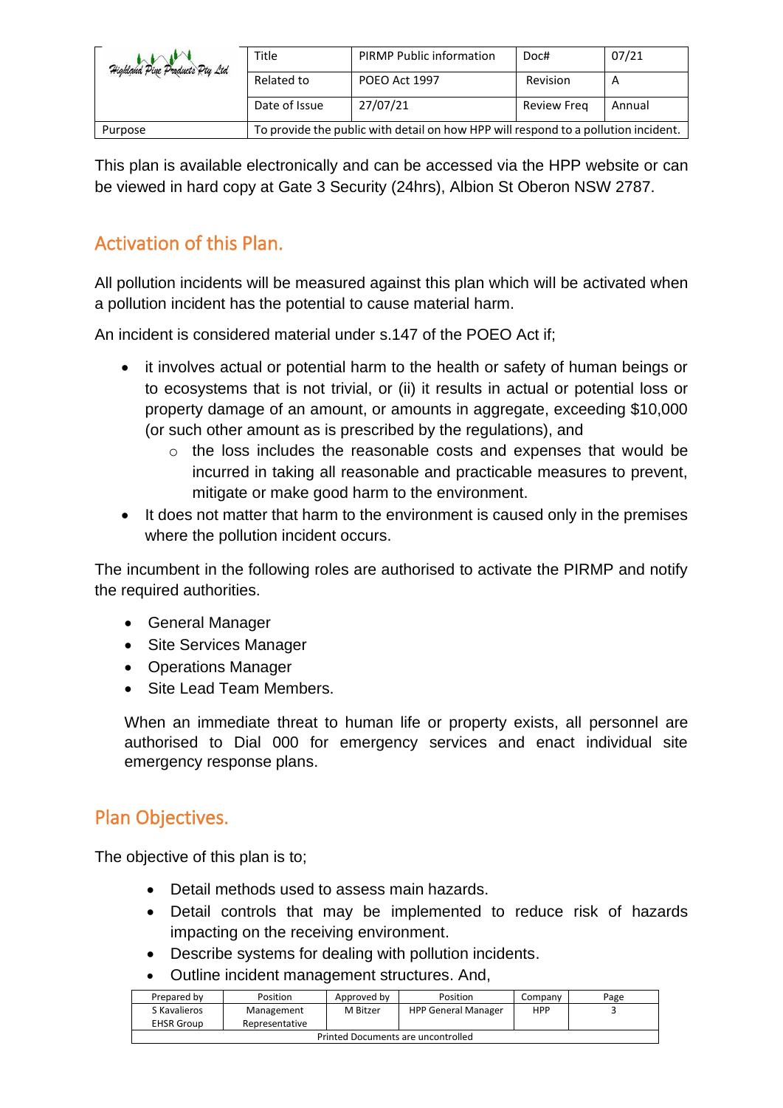| Highland Pine Products Pty Ltd | Title                                                                              | <b>PIRMP Public information</b> | Doc#               | 07/21  |
|--------------------------------|------------------------------------------------------------------------------------|---------------------------------|--------------------|--------|
|                                | Related to                                                                         | POEO Act 1997                   | Revision           |        |
|                                | Date of Issue                                                                      | 27/07/21                        | <b>Review Freg</b> | Annual |
| Purpose                        | To provide the public with detail on how HPP will respond to a pollution incident. |                                 |                    |        |

This plan is available electronically and can be accessed via the HPP website or can be viewed in hard copy at Gate 3 Security (24hrs), Albion St Oberon NSW 2787.

#### <span id="page-3-0"></span>Activation of this Plan.

All pollution incidents will be measured against this plan which will be activated when a pollution incident has the potential to cause material harm.

An incident is considered material under s.147 of the POEO Act if;

- it involves actual or potential harm to the health or safety of human beings or to ecosystems that is not trivial, or (ii) it results in actual or potential loss or property damage of an amount, or amounts in aggregate, exceeding \$10,000 (or such other amount as is prescribed by the regulations), and
	- o the loss includes the reasonable costs and expenses that would be incurred in taking all reasonable and practicable measures to prevent, mitigate or make good harm to the environment.
- It does not matter that harm to the environment is caused only in the premises where the pollution incident occurs.

The incumbent in the following roles are authorised to activate the PIRMP and notify the required authorities.

- General Manager
- Site Services Manager
- Operations Manager
- Site Lead Team Members.

When an immediate threat to human life or property exists, all personnel are authorised to Dial 000 for emergency services and enact individual site emergency response plans.

#### <span id="page-3-1"></span>Plan Objectives.

The objective of this plan is to;

- Detail methods used to assess main hazards.
- Detail controls that may be implemented to reduce risk of hazards impacting on the receiving environment.
- Describe systems for dealing with pollution incidents.
- Outline incident management structures. And,

| Prepared by                        | Position                     | Approved by | Position                   | Company    | Page |
|------------------------------------|------------------------------|-------------|----------------------------|------------|------|
| S Kavalieros<br><b>EHSR Group</b>  | Management<br>Representative | M Bitzer    | <b>HPP General Manager</b> | <b>HPP</b> |      |
| Printed Documents are uncontrolled |                              |             |                            |            |      |
|                                    |                              |             |                            |            |      |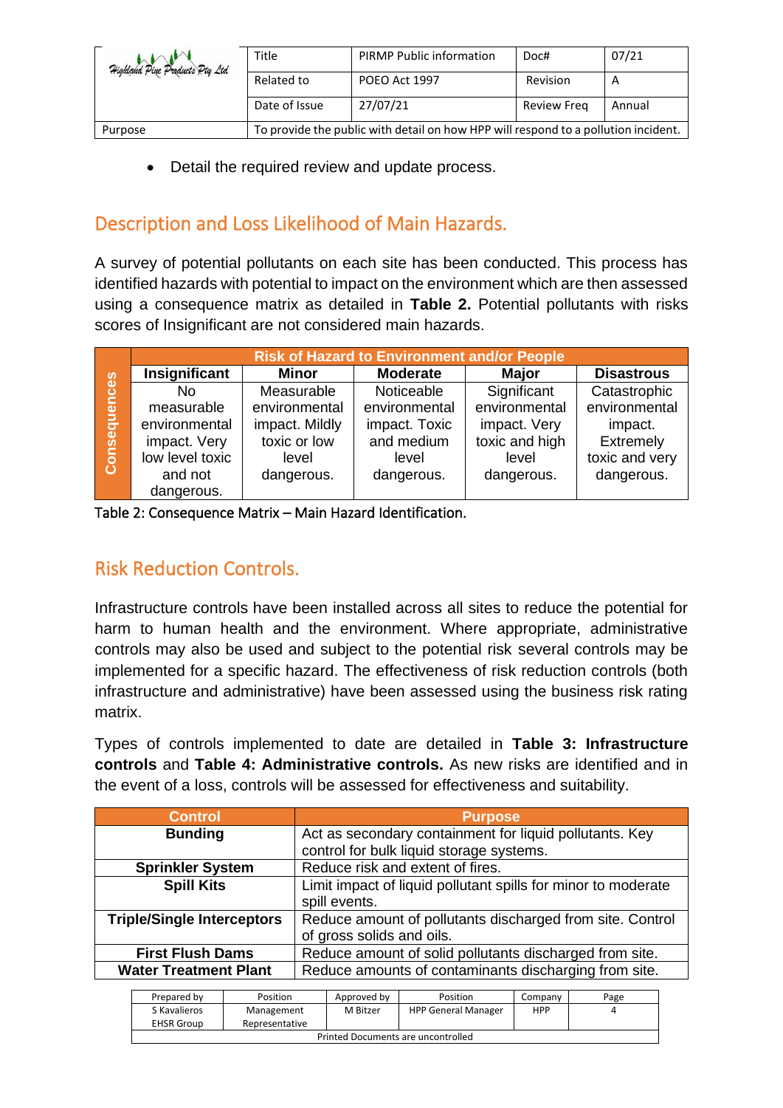| Highland Pine Products Pty Ltd | Title                                                                              | <b>PIRMP Public information</b> | Doc#               | 07/21  |
|--------------------------------|------------------------------------------------------------------------------------|---------------------------------|--------------------|--------|
|                                | Related to                                                                         | POEO Act 1997                   | Revision           | A      |
|                                | Date of Issue                                                                      | 27/07/21                        | <b>Review Freg</b> | Annual |
| Purpose                        | To provide the public with detail on how HPP will respond to a pollution incident. |                                 |                    |        |

• Detail the required review and update process.

#### <span id="page-4-0"></span>Description and Loss Likelihood of Main Hazards.

A survey of potential pollutants on each site has been conducted. This process has identified hazards with potential to impact on the environment which are then assessed using a consequence matrix as detailed in **Table 2.** Potential pollutants with risks scores of Insignificant are not considered main hazards.

|              | <b>Risk of Hazard to Environment and/or People</b> |                |                 |                |                   |  |
|--------------|----------------------------------------------------|----------------|-----------------|----------------|-------------------|--|
|              | Insignificant                                      | <b>Minor</b>   | <b>Moderate</b> | <b>Major</b>   | <b>Disastrous</b> |  |
| Consequences | No                                                 | Measurable     | Noticeable      | Significant    | Catastrophic      |  |
|              | measurable                                         | environmental  | environmental   | environmental  | environmental     |  |
|              | environmental                                      | impact. Mildly | impact. Toxic   | impact. Very   | impact.           |  |
|              | impact. Very                                       | toxic or low   | and medium      | toxic and high | Extremely         |  |
|              | low level toxic                                    | level          | level           | level          | toxic and very    |  |
|              | and not                                            | dangerous.     | dangerous.      | dangerous.     | dangerous.        |  |
|              | dangerous.                                         |                |                 |                |                   |  |

<span id="page-4-2"></span><span id="page-4-1"></span>Table 2: Consequence Matrix – Main Hazard Identification.

#### Risk Reduction Controls.

Infrastructure controls have been installed across all sites to reduce the potential for harm to human health and the environment. Where appropriate, administrative controls may also be used and subject to the potential risk several controls may be implemented for a specific hazard. The effectiveness of risk reduction controls (both infrastructure and administrative) have been assessed using the business risk rating matrix.

Types of controls implemented to date are detailed in **Table 3: Infrastructure controls** and **Table 4: Administrative controls.** As new risks are identified and in the event of a loss, controls will be assessed for effectiveness and suitability.

| <b>Control</b>                                                            | <b>Purpose</b>                                                |
|---------------------------------------------------------------------------|---------------------------------------------------------------|
| Act as secondary containment for liquid pollutants. Key<br><b>Bunding</b> |                                                               |
|                                                                           | control for bulk liquid storage systems.                      |
| <b>Sprinkler System</b>                                                   | Reduce risk and extent of fires.                              |
| <b>Spill Kits</b>                                                         | Limit impact of liquid pollutant spills for minor to moderate |
|                                                                           | spill events.                                                 |
| <b>Triple/Single Interceptors</b>                                         | Reduce amount of pollutants discharged from site. Control     |
|                                                                           | of gross solids and oils.                                     |
| <b>First Flush Dams</b>                                                   | Reduce amount of solid pollutants discharged from site.       |
| <b>Water Treatment Plant</b>                                              | Reduce amounts of contaminants discharging from site.         |

| Prepared by                        | Position       | Approved by | Position                   | Company | Page |  |
|------------------------------------|----------------|-------------|----------------------------|---------|------|--|
| S Kavalieros                       | Management     | M Bitzer    | <b>HPP General Manager</b> | HPP     |      |  |
| <b>EHSR Group</b>                  | Representative |             |                            |         |      |  |
| Printed Documents are uncontrolled |                |             |                            |         |      |  |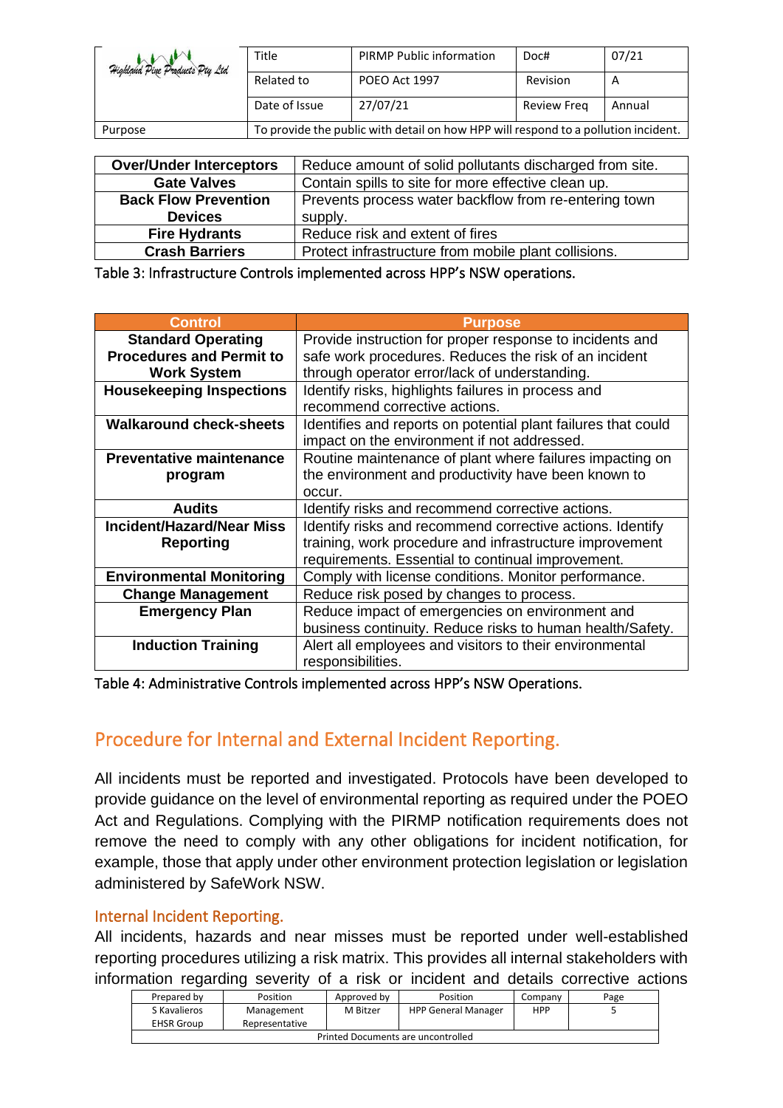| Highland Pine Products Pty Ltd | Title                                                                              | <b>PIRMP Public information</b> | Doc#               | 07/21  |
|--------------------------------|------------------------------------------------------------------------------------|---------------------------------|--------------------|--------|
|                                | Related to                                                                         | POEO Act 1997                   | Revision           | A      |
|                                | Date of Issue                                                                      | 27/07/21                        | <b>Review Freg</b> | Annual |
| Purpose                        | To provide the public with detail on how HPP will respond to a pollution incident. |                                 |                    |        |

| <b>Over/Under Interceptors</b> | Reduce amount of solid pollutants discharged from site. |
|--------------------------------|---------------------------------------------------------|
|                                |                                                         |
| <b>Gate Valves</b>             | Contain spills to site for more effective clean up.     |
| <b>Back Flow Prevention</b>    | Prevents process water backflow from re-entering town   |
| <b>Devices</b>                 | supply.                                                 |
| <b>Fire Hydrants</b>           | Reduce risk and extent of fires                         |
| <b>Crash Barriers</b>          | Protect infrastructure from mobile plant collisions.    |

<span id="page-5-0"></span>Table 3: Infrastructure Controls implemented across HPP's NSW operations.

| <b>Control</b>                   | <b>Purpose</b>                                                |
|----------------------------------|---------------------------------------------------------------|
| <b>Standard Operating</b>        | Provide instruction for proper response to incidents and      |
| <b>Procedures and Permit to</b>  | safe work procedures. Reduces the risk of an incident         |
| <b>Work System</b>               | through operator error/lack of understanding.                 |
| <b>Housekeeping Inspections</b>  | Identify risks, highlights failures in process and            |
|                                  | recommend corrective actions.                                 |
| <b>Walkaround check-sheets</b>   | Identifies and reports on potential plant failures that could |
|                                  | impact on the environment if not addressed.                   |
| <b>Preventative maintenance</b>  | Routine maintenance of plant where failures impacting on      |
| program                          | the environment and productivity have been known to           |
|                                  | occur.                                                        |
| <b>Audits</b>                    | Identify risks and recommend corrective actions.              |
| <b>Incident/Hazard/Near Miss</b> | Identify risks and recommend corrective actions. Identify     |
| <b>Reporting</b>                 | training, work procedure and infrastructure improvement       |
|                                  | requirements. Essential to continual improvement.             |
| <b>Environmental Monitoring</b>  | Comply with license conditions. Monitor performance.          |
| <b>Change Management</b>         | Reduce risk posed by changes to process.                      |
| <b>Emergency Plan</b>            | Reduce impact of emergencies on environment and               |
|                                  | business continuity. Reduce risks to human health/Safety.     |
| <b>Induction Training</b>        | Alert all employees and visitors to their environmental       |
|                                  | responsibilities.                                             |

<span id="page-5-2"></span><span id="page-5-1"></span>Table 4: Administrative Controls implemented across HPP's NSW Operations.

#### Procedure for Internal and External Incident Reporting.

All incidents must be reported and investigated. Protocols have been developed to provide guidance on the level of environmental reporting as required under the POEO Act and Regulations. Complying with the PIRMP notification requirements does not remove the need to comply with any other obligations for incident notification, for example, those that apply under other environment protection legislation or legislation administered by SafeWork NSW.

#### <span id="page-5-3"></span>Internal Incident Reporting.

All incidents, hazards and near misses must be reported under well-established reporting procedures utilizing a risk matrix. This provides all internal stakeholders with information regarding severity of a risk or incident and details corrective actions

| Prepared by                        | Position       | Approved by | Position                   | Company | Page |
|------------------------------------|----------------|-------------|----------------------------|---------|------|
| S Kavalieros                       | Management     | M Bitzer    | <b>HPP General Manager</b> | HPP     |      |
| <b>EHSR Group</b>                  | Representative |             |                            |         |      |
| Printed Documents are uncontrolled |                |             |                            |         |      |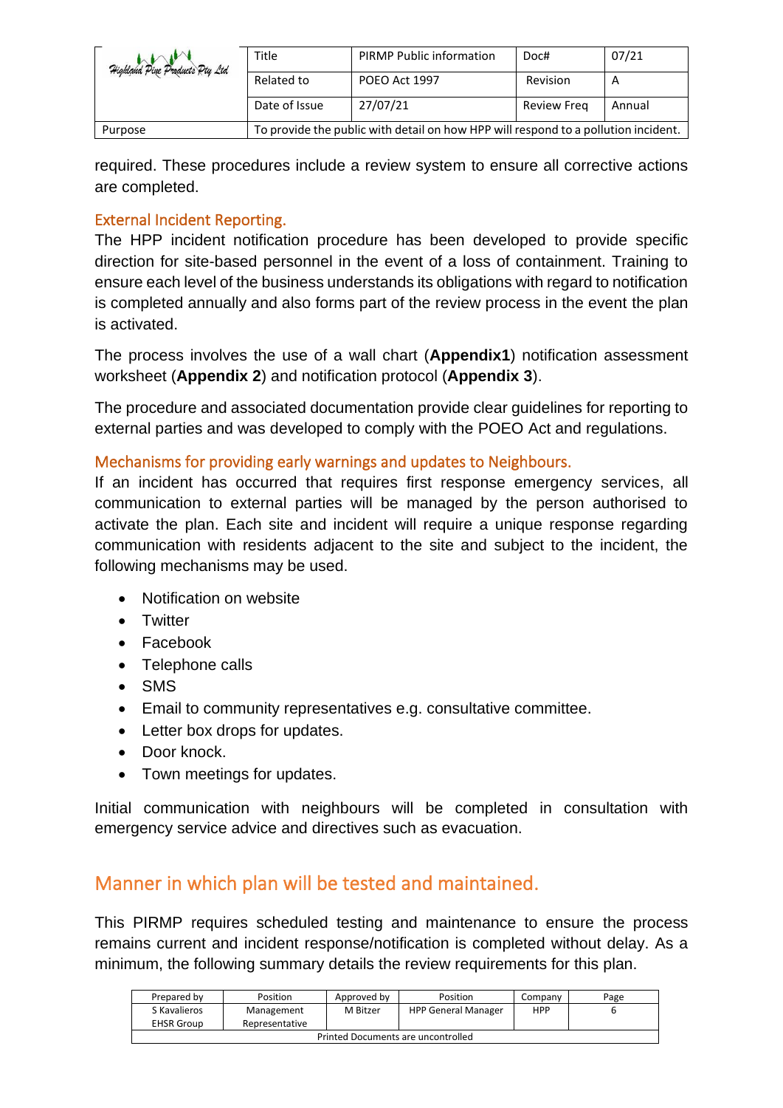| Highland Pine Products Pty Ltd | Title                                                                              | <b>PIRMP Public information</b> | Doc#               | 07/21  |
|--------------------------------|------------------------------------------------------------------------------------|---------------------------------|--------------------|--------|
|                                | Related to                                                                         | POEO Act 1997                   | Revision           | A      |
|                                | Date of Issue                                                                      | 27/07/21                        | <b>Review Freg</b> | Annual |
| Purpose                        | To provide the public with detail on how HPP will respond to a pollution incident. |                                 |                    |        |

required. These procedures include a review system to ensure all corrective actions are completed.

#### <span id="page-6-0"></span>External Incident Reporting.

The HPP incident notification procedure has been developed to provide specific direction for site-based personnel in the event of a loss of containment. Training to ensure each level of the business understands its obligations with regard to notification is completed annually and also forms part of the review process in the event the plan is activated.

The process involves the use of a wall chart (**Appendix1**) notification assessment worksheet (**Appendix 2**) and notification protocol (**Appendix 3**).

The procedure and associated documentation provide clear guidelines for reporting to external parties and was developed to comply with the POEO Act and regulations.

#### <span id="page-6-1"></span>Mechanisms for providing early warnings and updates to Neighbours.

If an incident has occurred that requires first response emergency services, all communication to external parties will be managed by the person authorised to activate the plan. Each site and incident will require a unique response regarding communication with residents adjacent to the site and subject to the incident, the following mechanisms may be used.

- Notification on website
- Twitter
- Facebook
- Telephone calls
- SMS
- Email to community representatives e.g. consultative committee.
- Letter box drops for updates.
- Door knock.
- Town meetings for updates.

Initial communication with neighbours will be completed in consultation with emergency service advice and directives such as evacuation.

#### <span id="page-6-2"></span>Manner in which plan will be tested and maintained.

This PIRMP requires scheduled testing and maintenance to ensure the process remains current and incident response/notification is completed without delay. As a minimum, the following summary details the review requirements for this plan.

| Prepared by                        | Position       | Approved by | Position                   | Company    | Page |
|------------------------------------|----------------|-------------|----------------------------|------------|------|
| S Kavalieros                       | Management     | M Bitzer    | <b>HPP General Manager</b> | <b>HPP</b> |      |
| <b>EHSR Group</b>                  | Representative |             |                            |            |      |
| Printed Documents are uncontrolled |                |             |                            |            |      |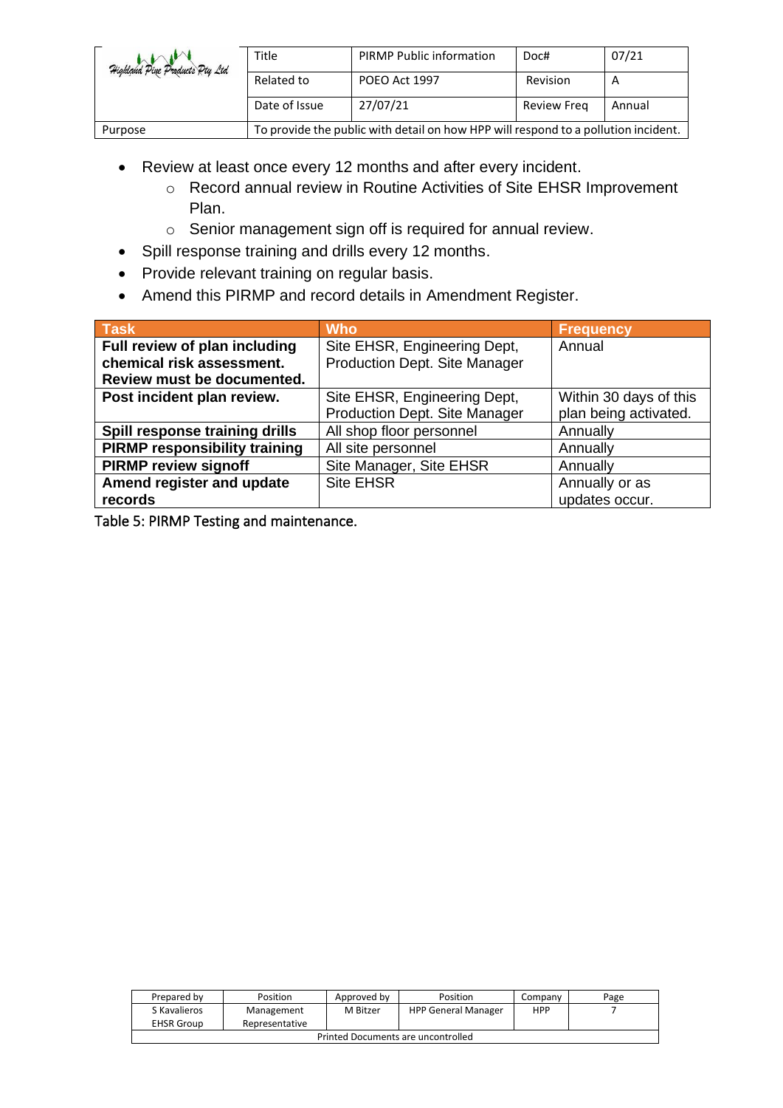| Highland Pine Products Pty Ltd | Title                                                                              | <b>PIRMP Public information</b> | Doc#               | 07/21  |
|--------------------------------|------------------------------------------------------------------------------------|---------------------------------|--------------------|--------|
|                                | Related to                                                                         | POEO Act 1997                   | Revision           |        |
|                                | Date of Issue                                                                      | 27/07/21                        | <b>Review Freg</b> | Annual |
| Purpose                        | To provide the public with detail on how HPP will respond to a pollution incident. |                                 |                    |        |

- Review at least once every 12 months and after every incident.
	- o Record annual review in Routine Activities of Site EHSR Improvement Plan.
	- o Senior management sign off is required for annual review.
- Spill response training and drills every 12 months.
- Provide relevant training on regular basis.
- Amend this PIRMP and record details in Amendment Register.

| $Ta$ sk                              | <b>Who</b>                    | <b>Frequency</b>       |
|--------------------------------------|-------------------------------|------------------------|
| Full review of plan including        | Site EHSR, Engineering Dept,  | Annual                 |
| chemical risk assessment.            | Production Dept. Site Manager |                        |
| Review must be documented.           |                               |                        |
| Post incident plan review.           | Site EHSR, Engineering Dept,  | Within 30 days of this |
|                                      | Production Dept. Site Manager | plan being activated.  |
| Spill response training drills       | All shop floor personnel      | Annually               |
| <b>PIRMP responsibility training</b> | All site personnel            | Annually               |
| <b>PIRMP review signoff</b>          | Site Manager, Site EHSR       | Annually               |
| Amend register and update            | <b>Site EHSR</b>              | Annually or as         |
| records                              |                               | updates occur.         |

<span id="page-7-0"></span>Table 5: PIRMP Testing and maintenance.

| Prepared by                        | Position       | Approved by | Position                   | Company    | Page |  |
|------------------------------------|----------------|-------------|----------------------------|------------|------|--|
| S Kavalieros                       | Management     | M Bitzer    | <b>HPP General Manager</b> | <b>HPP</b> |      |  |
| <b>EHSR Group</b>                  | Representative |             |                            |            |      |  |
| Printed Documents are uncontrolled |                |             |                            |            |      |  |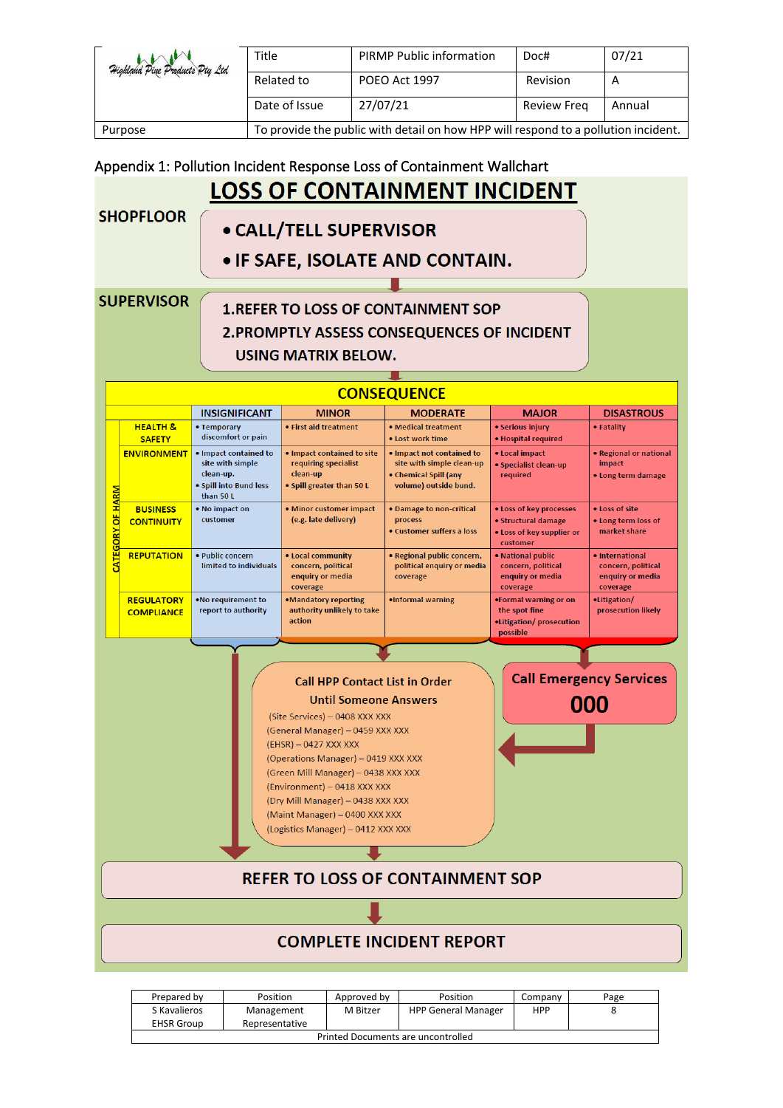| Highland Pine Products Pty Ltd | Title                                                                              | <b>PIRMP Public information</b> | Doc#               | 07/21  |
|--------------------------------|------------------------------------------------------------------------------------|---------------------------------|--------------------|--------|
|                                | Related to                                                                         | POEO Act 1997                   | Revision           | A      |
|                                | Date of Issue                                                                      | 27/07/21                        | <b>Review Freg</b> | Annual |
| Purpose                        | To provide the public with detail on how HPP will respond to a pollution incident. |                                 |                    |        |

#### <span id="page-8-0"></span>Appendix 1: Pollution Incident Response Loss of Containment Wallchart **LOSS OF CONTAINMENT INCIDENT SHOPFLOOR** • CALL/TELL SUPERVISOR • IF SAFE, ISOLATE AND CONTAIN. **SUPERVISOR 1.REFER TO LOSS OF CONTAINMENT SOP 2. PROMPTLY ASSESS CONSEQUENCES OF INCIDENT** USING MATRIX BELOW. **CONSEQUENCE INSIGNIFICANT MINOR MODERATE MAJOR DISASTROUS HEALTH &** • Temporary · First aid treatment • Medical treatment · Serious injury • Fatality discomfort or pain **SAFETY** • Lost work time · Hospital required **ENVIRONMENT**  $\bullet$  Impact contained to . Impact contained to site . Impact not contained to • Local impact • Regional or national site with simple clean-up site with simple requiring specialist · Specialist clean-up impact clean-up. clean-up • Chemical Spill (any required • Long term damage . Spill into Bund less . Spill greater than 50 L volume) outside bund. than 50 L **BUSINESS** • No impact on · Minor customer impact · Damage to non-critical . Loss of key processes • Loss of site process ö **CONTINUITY** customer (e.g. late delivery) · Structural damage . Long term loss of · Customer suffers a loss market share . Loss of key supplier or customer **REPUTATION** · Public concern · Regional public concern. · National public . Local community · International limited to individuals concern, political political enquiry or media concern, political concern, political enquiry or media coverage enquiry or media enquiry or media coverage coverage coverage **REGULATORY** .No requirement to •Mandatory reporting •Litigation/ ·Informal warning .Formal warning or on report to authority the spot fine prosecution likely authority unlikely to take **COMPLIANCE** action ·Litigation/prosecution possible **Call Emergency Services Call HPP Contact List in Order Until Someone Answers** 000 (Site Services) - 0408 XXX XXX (General Manager) - 0459 XXX XXX (EHSR) - 0427 XXX XXX (Operations Manager) - 0419 XXX XXX (Green Mill Manager) - 0438 XXX XXX (Environment) - 0418 XXX XXX (Dry Mill Manager) - 0438 XXX XXX

#### **REFER TO LOSS OF CONTAINMENT SOP**

(Maint Manager) - 0400 XXX XXX (Logistics Manager) - 0412 XXX XXX

#### **COMPLETE INCIDENT REPORT**

| Prepared by                        | Position                     | Approved by | Position                   | Company | Page |
|------------------------------------|------------------------------|-------------|----------------------------|---------|------|
| S Kavalieros<br><b>EHSR Group</b>  | Management<br>Representative | M Bitzer    | <b>HPP General Manager</b> | HPP     |      |
| Printed Documents are uncontrolled |                              |             |                            |         |      |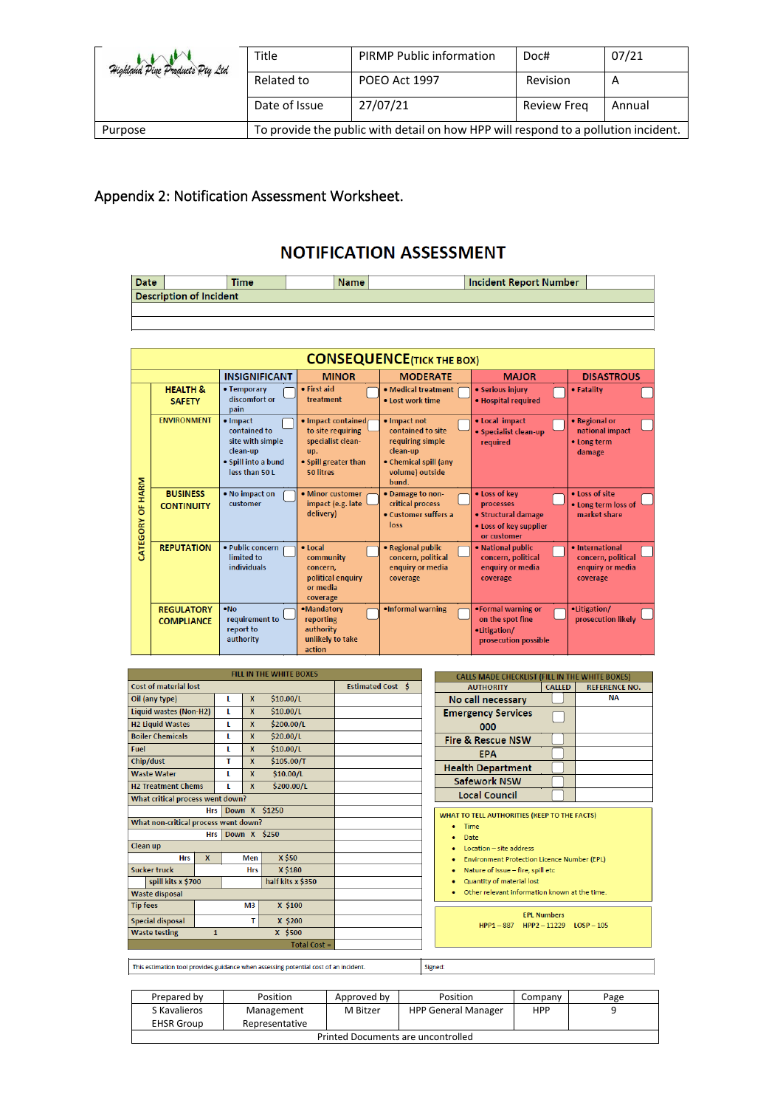| Highland Pine Products Pty Ltd | Title                                                                              | <b>PIRMP Public information</b> | Doc#               | 07/21  |  |
|--------------------------------|------------------------------------------------------------------------------------|---------------------------------|--------------------|--------|--|
|                                | Related to                                                                         | POEO Act 1997                   | Revision           | A      |  |
|                                | Date of Issue                                                                      | 27/07/21                        | <b>Review Freg</b> | Annual |  |
| Purpose                        | To provide the public with detail on how HPP will respond to a pollution incident. |                                 |                    |        |  |

#### <span id="page-9-0"></span>Appendix 2: Notification Assessment Worksheet.

#### **NOTIFICATION ASSESSMENT**

| <b>Date</b>                    |  | <b>Time</b> |  | <b>Name</b> |  | <b>Incident Report Number</b> |  |
|--------------------------------|--|-------------|--|-------------|--|-------------------------------|--|
| <b>Description of Incident</b> |  |             |  |             |  |                               |  |
|                                |  |             |  |             |  |                               |  |

|                     | <b>CONSEQUENCE (TICK THE BOX)</b>      |                                                                                                   |                                                                                                          |                                                                                                                        |                                                                                            |                                                                       |  |  |  |
|---------------------|----------------------------------------|---------------------------------------------------------------------------------------------------|----------------------------------------------------------------------------------------------------------|------------------------------------------------------------------------------------------------------------------------|--------------------------------------------------------------------------------------------|-----------------------------------------------------------------------|--|--|--|
|                     |                                        | <b>INSIGNIFICANT</b>                                                                              | <b>MINOR</b>                                                                                             | <b>MODERATE</b>                                                                                                        | <b>MAJOR</b>                                                                               | <b>DISASTROUS</b>                                                     |  |  |  |
|                     | <b>HEALTH &amp;</b><br><b>SAFETY</b>   | • Temporary<br>discomfort or<br>pain                                                              | • First aid<br>treatment                                                                                 | . Medical treatment<br>. Lost work time                                                                                | • Serious injury<br>· Hospital required                                                    | • Fatality                                                            |  |  |  |
|                     | <b>ENVIRONMENT</b>                     | • Impact<br>contained to<br>site with simple<br>clean-up<br>· Spill into a bund<br>less than 50 L | · Impact contained<br>to site requiring<br>specialist clean-<br>up.<br>• Spill greater than<br>50 litres | • Impact not<br>contained to site<br>requiring simple<br>clean-up<br>• Chemical spill (any<br>volume) outside<br>bund. | • Local impact<br>• Specialist clean-up<br>required                                        | • Regional or<br>- 1<br>national impact<br>• Long term<br>damage      |  |  |  |
| OF HARM<br>CATEGORY | <b>BUSINESS</b><br><b>CONTINUITY</b>   | • No impact on<br>customer                                                                        | • Minor customer<br>impact (e.g. late<br>delivery)                                                       | • Damage to non-<br>critical process<br>• Customer suffers a<br>loss                                                   | • Loss of key<br>processes<br>• Structural damage<br>• Loss of key supplier<br>or customer | • Loss of site<br>• Long term loss of<br>market share                 |  |  |  |
|                     | <b>REPUTATION</b>                      | · Public concern<br>limited to<br>individuals                                                     | • Local<br>community<br>concern.<br>political enquiry<br>or media<br>coverage                            | · Regional public<br>concern, political<br>enquiry or media<br>coverage                                                | • National public<br>concern, political<br>enguiry or media<br>coverage                    | · International<br>concern, political<br>enquiry or media<br>coverage |  |  |  |
|                     | <b>REGULATORY</b><br><b>COMPLIANCE</b> | • No<br>requirement to<br>report to<br>authority                                                  | ·Mandatory<br>reporting<br>authority<br>unlikely to take<br>action                                       | .Informal warning                                                                                                      | •Formal warning or<br>on the spot fine<br>•Litigation/<br>prosecution possible             | •Litigation/<br>prosecution likely                                    |  |  |  |

| <b>FILL IN THE WHITE BOXES</b>          |                          |   |            |                   |  |  |  |
|-----------------------------------------|--------------------------|---|------------|-------------------|--|--|--|
| <b>Cost of material lost</b>            | <b>Estimated Cost \$</b> |   |            |                   |  |  |  |
| \$10.00/L<br>Oil (any type)<br>X<br>L   |                          |   |            |                   |  |  |  |
| Liquid wastes (Non-H2)                  |                          | L | X          | \$10.00/L         |  |  |  |
| <b>H2 Liquid Wastes</b>                 |                          | г | X          | \$200.00/L        |  |  |  |
| <b>Boiler Chemicals</b>                 |                          | L | X          | \$20.00/L         |  |  |  |
| Fuel                                    |                          | L | X          | \$10.00/L         |  |  |  |
| Chip/dust                               |                          | т | X          | \$105.00/T        |  |  |  |
| <b>Waste Water</b>                      |                          | г | X          | \$10.00/L         |  |  |  |
| <b>H2 Treatment Chems</b>               |                          | L | X          | \$200.00/L        |  |  |  |
| What critical process went down?        |                          |   |            |                   |  |  |  |
| Down X \$1250<br><b>Hrs</b>             |                          |   |            |                   |  |  |  |
| What non-critical process went down?    |                          |   |            |                   |  |  |  |
|                                         | <b>Hrs</b>               |   |            | Down X \$250      |  |  |  |
| Clean up                                |                          |   |            |                   |  |  |  |
| <b>Hrs</b>                              | X                        |   | Men        | X \$50            |  |  |  |
| <b>Sucker truck</b>                     |                          |   | <b>Hrs</b> | X \$180           |  |  |  |
| spill kits x \$700                      |                          |   |            | half kits x \$350 |  |  |  |
| <b>Waste disposal</b>                   |                          |   |            |                   |  |  |  |
| X \$100<br><b>Tip fees</b><br>M3        |                          |   |            |                   |  |  |  |
| <b>Special disposal</b><br>X \$200<br>т |                          |   |            |                   |  |  |  |
| <b>Waste testing</b>                    | X \$500<br>$\mathbf{1}$  |   |            |                   |  |  |  |
|                                         |                          |   |            |                   |  |  |  |

| <b>CALLS MADE CHECKLIST (FILL IN THE WHITE BOXES)</b> |               |                      |  |  |  |  |
|-------------------------------------------------------|---------------|----------------------|--|--|--|--|
| <b>AUTHORITY</b>                                      | <b>CALLED</b> | <b>REFERENCE NO.</b> |  |  |  |  |
| No call necessary                                     |               | NΑ                   |  |  |  |  |
| <b>Emergency Services</b>                             |               |                      |  |  |  |  |
| 000                                                   |               |                      |  |  |  |  |
| <b>Fire &amp; Rescue NSW</b>                          |               |                      |  |  |  |  |
| ЕРА                                                   |               |                      |  |  |  |  |
| <b>Health Department</b>                              |               |                      |  |  |  |  |
| <b>Safework NSW</b>                                   |               |                      |  |  |  |  |
| <b>Local Council</b>                                  |               |                      |  |  |  |  |
|                                                       |               |                      |  |  |  |  |
| WHAT TO TELL AUTHORITIES (KEEP TO THE FACTS)          |               |                      |  |  |  |  |
| Time                                                  |               |                      |  |  |  |  |
| Date                                                  |               |                      |  |  |  |  |
| Location - site address                               |               |                      |  |  |  |  |
| <b>Environment Protection Licence Number (EPL)</b>    |               |                      |  |  |  |  |
| Nature of Issue – fire, spill etc.                    |               |                      |  |  |  |  |

- Nature of Issue fire, spin<br>• Quantity of material lost
- Other relevant information known at the time.

EPL Numbers<br>
HPP1-887 HPP2-11229 LOSP-105

This estimation tool provides guidance when assessing potential cost of an incident.

| Prepared by                        | Position       | Approved by | Position                   | Company | Page |  |  |
|------------------------------------|----------------|-------------|----------------------------|---------|------|--|--|
| S Kavalieros                       | Management     | M Bitzer    | <b>HPP General Manager</b> | HPP     |      |  |  |
| <b>EHSR Group</b>                  | Representative |             |                            |         |      |  |  |
| Printed Documents are uncontrolled |                |             |                            |         |      |  |  |

Signed: